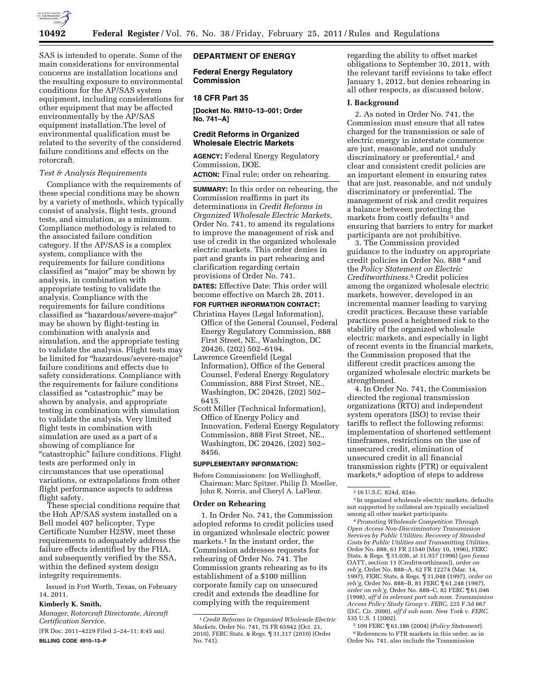

SAS is intended to operate. Some of the main considerations for environmental concerns are installation locations and the resulting exposure to environmental conditions for the AP/SAS system equipment, including considerations for other equipment that may be affected environmentally by the AP/SAS equipment installation.The level of environmental qualification must be related to the severity of the considered failure conditions and effects on the rotorcraft.

### *Test & Analysis Requirements*

Compliance with the requirements of these special conditions may be shown by a variety of methods, which typically consist of analysis, flight tests, ground tests, and simulation, as a minimum. Compliance methodology is related to the associated failure condition category. If the AP/SAS is a complex system, compliance with the requirements for failure conditions classified as ''major'' may be shown by analysis, in combination with appropriate testing to validate the analysis. Compliance with the requirements for failure conditions classified as ''hazardous/severe-major'' may be shown by flight-testing in combination with analysis and simulation, and the appropriate testing to validate the analysis. Flight tests may be limited for ''hazardous/severe-major'' failure conditions and effects due to safety considerations. Compliance with the requirements for failure conditions classified as ''catastrophic'' may be shown by analysis, and appropriate testing in combination with simulation to validate the analysis. Very limited flight tests in combination with simulation are used as a part of a showing of compliance for "catastrophic" failure conditions. Flight tests are performed only in circumstances that use operational variations, or extrapolations from other flight performance aspects to address flight safety.

These special conditions require that the Hoh AP/SAS system installed on a Bell model 407 helicopter, Type Certificate Number H2SW, meet these requirements to adequately address the failure effects identified by the FHA, and subsequently verified by the SSA, within the defined system design integrity requirements.

Issued in Fort Worth, Texas, on February 14, 2011.

### **Kimberly K. Smith,**

*Manager, Rotorcraft Directorate, Aircraft Certification Service.* 

[FR Doc. 2011–4229 Filed 2–24–11; 8:45 am] **BILLING CODE 4910–13–P** 

### **DEPARTMENT OF ENERGY**

**Federal Energy Regulatory Commission** 

### **18 CFR Part 35**

**[Docket No. RM10–13–001; Order No. 741–A]** 

### **Credit Reforms in Organized Wholesale Electric Markets**

**AGENCY:** Federal Energy Regulatory Commission, DOE.

**ACTION:** Final rule; order on rehearing.

**SUMMARY:** In this order on rehearing, the Commission reaffirms in part its determinations in *Credit Reforms in Organized Wholesale Electric Markets,*  Order No. 741, to amend its regulations to improve the management of risk and use of credit in the organized wholesale electric markets. This order denies in part and grants in part rehearing and clarification regarding certain provisions of Order No. 741.

**DATES:** Effective Date: This order will become effective on March 28, 2011.

# **FOR FURTHER INFORMATION CONTACT:**

- Christina Hayes (Legal Information), Office of the General Counsel, Federal Energy Regulatory Commission, 888 First Street, NE., Washington, DC 20426, (202) 502–6194.
- Lawrence Greenfield (Legal Information), Office of the General Counsel, Federal Energy Regulatory Commission, 888 First Street, NE., Washington, DC 20426, (202) 502– 6415.
- Scott Miller (Technical Information), Office of Energy Policy and Innovation, Federal Energy Regulatory Commission, 888 First Street, NE., Washington, DC 20426, (202) 502– 8456.

#### **SUPPLEMENTARY INFORMATION:**

Before Commissioners: Jon Wellinghoff, Chairman; Marc Spitzer, Philip D. Moeller, John R. Norris, and Cheryl A. LaFleur.

#### **Order on Rehearing**

1. In Order No. 741, the Commission adopted reforms to credit policies used in organized wholesale electric power markets.1 In the instant order, the Commission addresses requests for rehearing of Order No. 741. The Commission grants rehearing as to its establishment of a \$100 million corporate family cap on unsecured credit and extends the deadline for complying with the requirement

regarding the ability to offset market obligations to September 30, 2011, with the relevant tariff revisions to take effect January 1, 2012, but denies rehearing in all other respects, as discussed below.

#### **I. Background**

2. As noted in Order No. 741, the Commission must ensure that all rates charged for the transmission or sale of electric energy in interstate commerce are just, reasonable, and not unduly discriminatory or preferential,<sup>2</sup> and clear and consistent credit policies are an important element in ensuring rates that are just, reasonable, and not unduly discriminatory or preferential. The management of risk and credit requires a balance between protecting the markets from costly defaults 3 and ensuring that barriers to entry for market participants are not prohibitive.

3. The Commission provided guidance to the industry on appropriate credit policies in Order No. 888 4 and the *Policy Statement on Electric Creditworthiness.*5 Credit policies among the organized wholesale electric markets, however, developed in an incremental manner leading to varying credit practices. Because these variable practices posed a heightened risk to the stability of the organized wholesale electric markets, and especially in light of recent events in the financial markets, the Commission proposed that the different credit practices among the organized wholesale electric markets be strengthened.

4. In Order No. 741, the Commission directed the regional transmission organizations (RTO) and independent system operators (ISO) to revise their tariffs to reflect the following reforms: implementation of shortened settlement timeframes, restrictions on the use of unsecured credit, elimination of unsecured credit in all financial transmission rights (FTR) or equivalent markets,<sup>6</sup> adoption of steps to address

3 In organized wholesale electric markets, defaults not supported by collateral are typically socialized among all other market participants.

4*Promoting Wholesale Competition Through Open Access Non-Discriminatory Transmission Services by Public Utilities; Recovery of Stranded Costs by Public Utilities and Transmitting Utilities,*  Order No. 888, 61 FR 21540 (May 10, 1996), FERC Stats. & Regs. ¶ 31,036, at 31,937 (1996) (*pro forma*  OATT, section 11 (Creditworthiness)), *order on reh'g,* Order No. 888–A, 62 FR 12274 (Mar. 14, 1997), FERC Stats. & Regs. ¶ 31,048 (1997), *order on reh'g,* Order No. 888–B, 81 FERC ¶ 61,248 (1997), *order on reh'g,* Order No. 888–C, 82 FERC ¶ 61,046 (1998), *aff'd in relevant part sub nom. Transmission Access Policy Study Group* v. *FERC,* 225 F.3d 667 (D.C. Cir. 2000), *aff'd sub nom. New York* v. *FERC,*  535 U.S. 1 (2002).

5 109 FERC ¶ 61,186 (2004) (*Policy Statement*). 6References to FTR markets in this order, as in Order No. 741, also include the Transmission

<sup>1</sup>*Credit Reforms in Organized Wholesale Electric Markets,* Order No. 741, 75 FR 65942 (Oct. 21, 2010), FERC Stats. & Regs. ¶ 31,317 (2010) (Order No. 741).

<sup>2</sup> 16 U.S.C. 824d, 824e.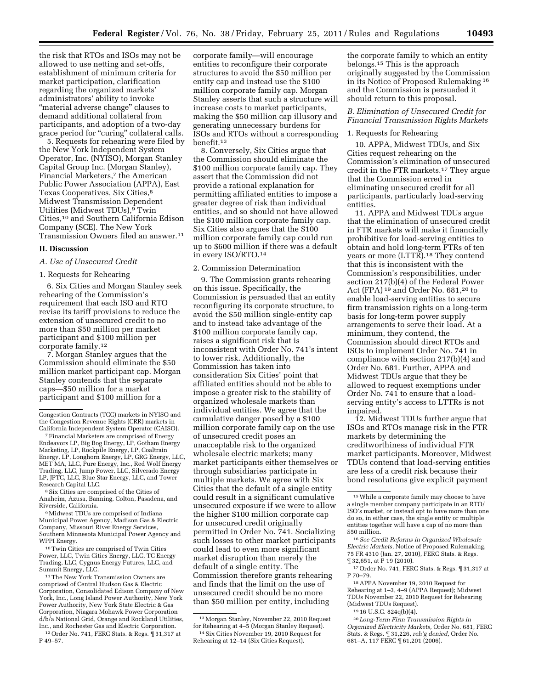the risk that RTOs and ISOs may not be allowed to use netting and set-offs, establishment of minimum criteria for market participation, clarification regarding the organized markets' administrators' ability to invoke ''material adverse change'' clauses to demand additional collateral from participants, and adoption of a two-day grace period for "curing" collateral calls.

5. Requests for rehearing were filed by the New York Independent System Operator, Inc. (NYISO), Morgan Stanley Capital Group Inc. (Morgan Stanley), Financial Marketers,<sup>7</sup> the American Public Power Association (APPA), East Texas Cooperatives, Six Cities,8 Midwest Transmission Dependent Utilities (Midwest TDUs),<sup>9</sup> Twin Cities,10 and Southern California Edison Company (SCE). The New York Transmission Owners filed an answer.11

### **II. Discussion**

### *A. Use of Unsecured Credit*

#### 1. Requests for Rehearing

6. Six Cities and Morgan Stanley seek rehearing of the Commission's requirement that each ISO and RTO revise its tariff provisions to reduce the extension of unsecured credit to no more than \$50 million per market participant and \$100 million per corporate family.12

7. Morgan Stanley argues that the Commission should eliminate the \$50 million market participant cap. Morgan Stanley contends that the separate caps—\$50 million for a market participant and \$100 million for a

8Six Cities are comprised of the Cities of Anaheim, Azusa, Banning, Colton, Pasadena, and Riverside, California.

9Midwest TDUs are comprised of Indiana Municipal Power Agency, Madison Gas & Electric Company, Missouri River Energy Services, Southern Minnesota Municipal Power Agency and WPPI Energy.

10Twin Cities are comprised of Twin Cities Power, LLC, Twin Cities Energy, LLC, TC Energy Trading, LLC, Cygnus Energy Futures, LLC, and Summit Energy, LLC.

11The New York Transmission Owners are comprised of Central Hudson Gas & Electric Corporation, Consolidated Edison Company of New York, Inc., Long Island Power Authority, New York Power Authority, New York State Electric & Gas Corporation, Niagara Mohawk Power Corporation d/b/a National Grid, Orange and Rockland Utilities, Inc., and Rochester Gas and Electric Corporation. 12Order No. 741, FERC Stats. & Regs. ¶ 31,317 at

P 49–57.

corporate family—will encourage entities to reconfigure their corporate structures to avoid the \$50 million per entity cap and instead use the \$100 million corporate family cap. Morgan Stanley asserts that such a structure will increase costs to market participants, making the \$50 million cap illusory and generating unnecessary burdens for ISOs and RTOs without a corresponding benefit.13

8. Conversely, Six Cities argue that the Commission should eliminate the \$100 million corporate family cap. They assert that the Commission did not provide a rational explanation for permitting affiliated entities to impose a greater degree of risk than individual entities, and so should not have allowed the \$100 million corporate family cap. Six Cities also argues that the \$100 million corporate family cap could run up to \$600 million if there was a default in every ISO/RTO.14

### 2. Commission Determination

9. The Commission grants rehearing on this issue. Specifically, the Commission is persuaded that an entity reconfiguring its corporate structure, to avoid the \$50 million single-entity cap and to instead take advantage of the \$100 million corporate family cap, raises a significant risk that is inconsistent with Order No. 741's intent to lower risk. Additionally, the Commission has taken into consideration Six Cities' point that affiliated entities should not be able to impose a greater risk to the stability of organized wholesale markets than individual entities. We agree that the cumulative danger posed by a \$100 million corporate family cap on the use of unsecured credit poses an unacceptable risk to the organized wholesale electric markets; many market participants either themselves or through subsidiaries participate in multiple markets. We agree with Six Cities that the default of a single entity could result in a significant cumulative unsecured exposure if we were to allow the higher \$100 million corporate cap for unsecured credit originally permitted in Order No. 741. Socializing such losses to other market participants could lead to even more significant market disruption than merely the default of a single entity. The Commission therefore grants rehearing and finds that the limit on the use of unsecured credit should be no more than \$50 million per entity, including

the corporate family to which an entity belongs.15 This is the approach originally suggested by the Commission in its Notice of Proposed Rulemaking 16 and the Commission is persuaded it should return to this proposal.

### *B. Elimination of Unsecured Credit for Financial Transmission Rights Markets*

## 1. Requests for Rehearing

10. APPA, Midwest TDUs, and Six Cities request rehearing on the Commission's elimination of unsecured credit in the FTR markets.17 They argue that the Commission erred in eliminating unsecured credit for all participants, particularly load-serving entities.

11. APPA and Midwest TDUs argue that the elimination of unsecured credit in FTR markets will make it financially prohibitive for load-serving entities to obtain and hold long-term FTRs of ten years or more (LTTR).18 They contend that this is inconsistent with the Commission's responsibilities, under section 217(b)(4) of the Federal Power Act (FPA) 19 and Order No. 681,20 to enable load-serving entities to secure firm transmission rights on a long-term basis for long-term power supply arrangements to serve their load. At a minimum, they contend, the Commission should direct RTOs and ISOs to implement Order No. 741 in compliance with section 217(b)(4) and Order No. 681. Further, APPA and Midwest TDUs argue that they be allowed to request exemptions under Order No. 741 to ensure that a loadserving entity's access to LTTRs is not impaired.

12. Midwest TDUs further argue that ISOs and RTOs manage risk in the FTR markets by determining the creditworthiness of individual FTR market participants. Moreover, Midwest TDUs contend that load-serving entities are less of a credit risk because their bond resolutions give explicit payment

Congestion Contracts (TCC) markets in NYISO and the Congestion Revenue Rights (CRR) markets in California Independent System Operator (CAISO).

<sup>7</sup>Financial Marketers are comprised of Energy Endeavors LP, Big Bog Energy, LP, Gotham Energy Marketing, LP, Rockpile Energy, LP, Coaltrain Energy, LP, Longhorn Energy, LP, GRG Energy, LLC, MET MA, LLC, Pure Energy, Inc., Red Wolf Energy Trading, LLC, Jump Power, LLC, Silverado Energy LP, JPTC, LLC, Blue Star Energy, LLC, and Tower Research Capital LLC.

<sup>13</sup>Morgan Stanley, November 22, 2010 Request for Rehearing at 4–5 (Morgan Stanley Request).

<sup>14</sup>Six Cities November 19, 2010 Request for Rehearing at 12–14 (Six Cities Request).

<sup>15</sup>While a corporate family may choose to have a single member company participate in an RTO/ ISO's market, or instead opt to have more than one do so, in either case, the single entity or multiple entities together will have a cap of no more than \$50 million.

<sup>16</sup>*See Credit Reforms in Organized Wholesale Electric Markets,* Notice of Proposed Rulemaking, 75 FR 4310 (Jan. 27, 2010), FERC Stats. & Regs. ¶ 32,651, at P 19 (2010).

 $^{17}\rm{Order}$  No. 741, FERC Stats. & Regs.  $\P$  31,317 at P 70–79.

<sup>18</sup>APPA November 19, 2010 Request for Rehearing at 1–3, 4–9 (APPA Request); Midwest TDUs November 22, 2010 Request for Rehearing (Midwest TDUs Request).

<sup>19</sup> 16 U.S.C. 824q(b)(4).

<sup>20</sup> *Long-Term Firm Transmission Rights in Organized Electricity Markets,* Order No. 681, FERC Stats. & Regs. ¶ 31,226, *reh'g denied,* Order No. 681–A, 117 FERC ¶ 61,201 (2006).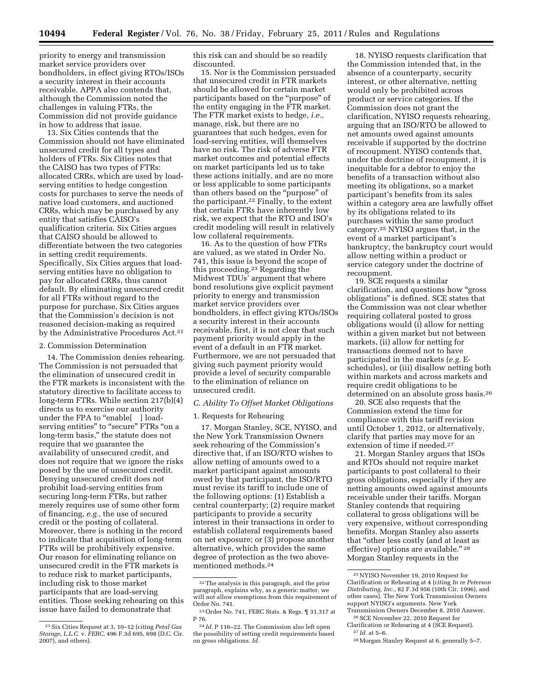priority to energy and transmission market service providers over bondholders, in effect giving RTOs/ISOs a security interest in their accounts receivable. APPA also contends that, although the Commission noted the challenges in valuing FTRs, the Commission did not provide guidance in how to address that issue.

13. Six Cities contends that the Commission should not have eliminated unsecured credit for all types and holders of FTRs. Six Cities notes that the CAISO has two types of FTRs: allocated CRRs, which are used by loadserving entities to hedge congestion costs for purchases to serve the needs of native load customers, and auctioned CRRs, which may be purchased by any entity that satisfies CAISO's qualification criteria. Six Cities argues that CAISO should be allowed to differentiate between the two categories in setting credit requirements. Specifically, Six Cities argues that loadserving entities have no obligation to pay for allocated CRRs, thus cannot default. By eliminating unsecured credit for all FTRs without regard to the purpose for purchase, Six Cities argues that the Commission's decision is not reasoned decision-making as required by the Administrative Procedures Act.<sup>21</sup>

#### 2. Commission Determination

14. The Commission denies rehearing. The Commission is not persuaded that the elimination of unsecured credit in the FTR markets is inconsistent with the statutory directive to facilitate access to long-term FTRs. While section 217(b)(4) directs us to exercise our authority under the FPA to "enable[ ] loadserving entities" to "secure" FTRs "on a long-term basis,'' the statute does not require that we guarantee the availability of unsecured credit, and does not require that we ignore the risks posed by the use of unsecured credit. Denying unsecured credit does not prohibit load-serving entities from securing long-term FTRs, but rather merely requires use of some other form of financing, *e.g.,* the use of secured credit or the posting of collateral. Moreover, there is nothing in the record to indicate that acquisition of long-term FTRs will be prohibitively expensive. Our reason for eliminating reliance on unsecured credit in the FTR markets is to reduce risk to market participants, including risk to those market participants that are load-serving entities. Those seeking rehearing on this issue have failed to demonstrate that

this risk can and should be so readily discounted.

15. Nor is the Commission persuaded that unsecured credit in FTR markets should be allowed for certain market participants based on the ''purpose'' of the entity engaging in the FTR market. The FTR market exists to hedge, *i.e.,*  manage, risk, but there are no guarantees that such hedges, even for load-serving entities, will themselves have no risk. The risk of adverse FTR market outcomes and potential effects on market participants led us to take these actions initially, and are no more or less applicable to some participants than others based on the ''purpose'' of the participant.22 Finally, to the extent that certain FTRs have inherently low risk, we expect that the RTO and ISO's credit modeling will result in relatively low collateral requirements.

16. As to the question of how FTRs are valued, as we stated in Order No. 741, this issue is beyond the scope of this proceeding.23 Regarding the Midwest TDUs' argument that where bond resolutions give explicit payment priority to energy and transmission market service providers over bondholders, in effect giving RTOs/ISOs a security interest in their accounts receivable, first, it is not clear that such payment priority would apply in the event of a default in an FTR market. Furthermore, we are not persuaded that giving such payment priority would provide a level of security comparable to the elimination of reliance on unsecured credit.

### *C. Ability To Offset Market Obligations*

#### 1. Requests for Rehearing

17. Morgan Stanley, SCE, NYISO, and the New York Transmission Owners seek rehearing of the Commission's directive that, if an ISO/RTO wishes to allow netting of amounts owed to a market participant against amounts owed by that participant, the ISO/RTO must revise its tariff to include one of the following options: (1) Establish a central counterparty; (2) require market participants to provide a security interest in their transactions in order to establish collateral requirements based on net exposure; or (3) propose another alternative, which provides the same degree of protection as the two abovementioned methods.24

18. NYISO requests clarification that the Commission intended that, in the absence of a counterparty, security interest, or other alternative, netting would only be prohibited across product or service categories. If the Commission does not grant the clarification, NYISO requests rehearing, arguing that an ISO/RTO be allowed to net amounts owed against amounts receivable if supported by the doctrine of recoupment. NYISO contends that, under the doctrine of recoupment, it is inequitable for a debtor to enjoy the benefits of a transaction without also meeting its obligations, so a market participant's benefits from its sales within a category area are lawfully offset by its obligations related to its purchases within the same product category.25 NYISO argues that, in the event of a market participant's bankruptcy, the bankruptcy court would allow netting within a product or service category under the doctrine of recoupment.

19. SCE requests a similar clarification, and questions how ''gross obligations'' is defined. SCE states that the Commission was not clear whether requiring collateral posted to gross obligations would (i) allow for netting within a given market but not between markets, (ii) allow for netting for transactions deemed not to have participated in the markets (*e.g.* Eschedules), or (iii) disallow netting both within markets and across markets and require credit obligations to be determined on an absolute gross basis.26

20. SCE also requests that the Commission extend the time for compliance with this tariff revision until October 1, 2012, or alternatively, clarify that parties may move for an extension of time if needed.<sup>27</sup>

21. Morgan Stanley argues that ISOs and RTOs should not require market participants to post collateral to their gross obligations, especially if they are netting amounts owed against amounts receivable under their tariffs. Morgan Stanley contends that requiring collateral to gross obligations will be very expensive, without corresponding benefits. Morgan Stanley also asserts that ''other less costly (and at least as effective) options are available." <sup>28</sup> Morgan Stanley requests in the

<sup>21</sup>Six Cities Request at 3, 10–12 (citing *Petal Gas Storage, L.L.C.* v. *FERC,* 496 F.3d 695, 698 (D.C. Cir. 2007), and others).

<sup>22</sup>The analysis in this paragraph, and the prior paragraph, explains why, as a generic matter, we will not allow exemptions from this requirement of Order No. 741.

<sup>23</sup>Order No. 741, FERC Stats. & Regs. ¶ 31,317 at P 76.

<sup>24</sup> *Id.* P 116–22. The Commission also left open the possibility of setting credit requirements based on gross obligations. *Id.* 

<sup>25</sup>NYISO November 19, 2010 Request for Clarification or Rehearing at 4 (citing *In re Peterson Distributing, Inc.,* 82 F.3d 956 (10th Cir. 1996), and other cases). The New York Transmission Owners support NYISO's arguments. New York Transmission Owners December 8, 2010 Answer.

<sup>26</sup>SCE November 22, 2010 Request for

Clarification or Rehearing at 4 (SCE Request). 27 *Id.* at 5–6.

<sup>28</sup>Morgan Stanley Request at 6, generally 5–7.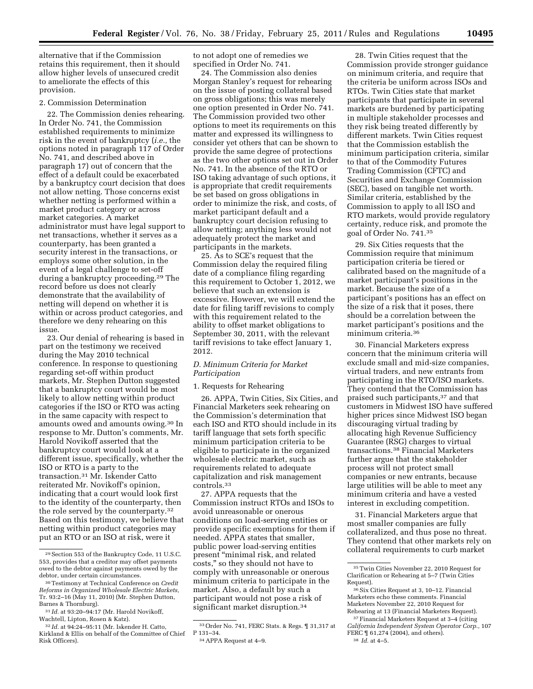alternative that if the Commission retains this requirement, then it should allow higher levels of unsecured credit to ameliorate the effects of this

### 2. Commission Determination

provision.

22. The Commission denies rehearing. In Order No. 741, the Commission established requirements to minimize risk in the event of bankruptcy (*i.e.,* the options noted in paragraph 117 of Order No. 741, and described above in paragraph 17) out of concern that the effect of a default could be exacerbated by a bankruptcy court decision that does not allow netting. Those concerns exist whether netting is performed within a market product category or across market categories. A market administrator must have legal support to net transactions, whether it serves as a counterparty, has been granted a security interest in the transactions, or employs some other solution, in the event of a legal challenge to set-off during a bankruptcy proceeding.29 The record before us does not clearly demonstrate that the availability of netting will depend on whether it is within or across product categories, and therefore we deny rehearing on this issue.

23. Our denial of rehearing is based in part on the testimony we received during the May 2010 technical conference. In response to questioning regarding set-off within product markets, Mr. Stephen Dutton suggested that a bankruptcy court would be most likely to allow netting within product categories if the ISO or RTO was acting in the same capacity with respect to amounts owed and amounts owing.30 In response to Mr. Dutton's comments, Mr. Harold Novikoff asserted that the bankruptcy court would look at a different issue, specifically, whether the ISO or RTO is a party to the transaction.31 Mr. Iskender Catto reiterated Mr. Novikoff's opinion, indicating that a court would look first to the identity of the counterparty, then the role served by the counterparty.32 Based on this testimony, we believe that netting within product categories may put an RTO or an ISO at risk, were it

to not adopt one of remedies we specified in Order No. 741.

24. The Commission also denies Morgan Stanley's request for rehearing on the issue of posting collateral based on gross obligations; this was merely one option presented in Order No. 741. The Commission provided two other options to meet its requirements on this matter and expressed its willingness to consider yet others that can be shown to provide the same degree of protections as the two other options set out in Order No. 741. In the absence of the RTO or ISO taking advantage of such options, it is appropriate that credit requirements be set based on gross obligations in order to minimize the risk, and costs, of market participant default and a bankruptcy court decision refusing to allow netting; anything less would not adequately protect the market and participants in the markets.

25. As to SCE's request that the Commission delay the required filing date of a compliance filing regarding this requirement to October 1, 2012, we believe that such an extension is excessive. However, we will extend the date for filing tariff revisions to comply with this requirement related to the ability to offset market obligations to September 30, 2011, with the relevant tariff revisions to take effect January 1, 2012.

### *D. Minimum Criteria for Market Participation*

### 1. Requests for Rehearing

26. APPA, Twin Cities, Six Cities, and Financial Marketers seek rehearing on the Commission's determination that each ISO and RTO should include in its tariff language that sets forth specific minimum participation criteria to be eligible to participate in the organized wholesale electric market, such as requirements related to adequate capitalization and risk management controls.33

27. APPA requests that the Commission instruct RTOs and ISOs to avoid unreasonable or onerous conditions on load-serving entities or provide specific exemptions for them if needed. APPA states that smaller, public power load-serving entities present ''minimal risk, and related costs,'' so they should not have to comply with unreasonable or onerous minimum criteria to participate in the market. Also, a default by such a participant would not pose a risk of significant market disruption.34

28. Twin Cities request that the Commission provide stronger guidance on minimum criteria, and require that the criteria be uniform across ISOs and RTOs. Twin Cities state that market participants that participate in several markets are burdened by participating in multiple stakeholder processes and they risk being treated differently by different markets. Twin Cities request that the Commission establish the minimum participation criteria, similar to that of the Commodity Futures Trading Commission (CFTC) and Securities and Exchange Commission (SEC), based on tangible net worth. Similar criteria, established by the Commission to apply to all ISO and RTO markets, would provide regulatory certainty, reduce risk, and promote the goal of Order No. 741.35

29. Six Cities requests that the Commission require that minimum participation criteria be tiered or calibrated based on the magnitude of a market participant's positions in the market. Because the size of a participant's positions has an effect on the size of a risk that it poses, there should be a correlation between the market participant's positions and the minimum criteria.36

30. Financial Marketers express concern that the minimum criteria will exclude small and mid-size companies, virtual traders, and new entrants from participating in the RTO/ISO markets. They contend that the Commission has praised such participants,37 and that customers in Midwest ISO have suffered higher prices since Midwest ISO began discouraging virtual trading by allocating high Revenue Sufficiency Guarantee (RSG) charges to virtual transactions.38 Financial Marketers further argue that the stakeholder process will not protect small companies or new entrants, because large utilities will be able to meet any minimum criteria and have a vested interest in excluding competition.

31. Financial Marketers argue that most smaller companies are fully collateralized, and thus pose no threat. They contend that other markets rely on collateral requirements to curb market

<sup>29</sup>Section 553 of the Bankruptcy Code, 11 U.S.C. 553, provides that a creditor may offset payments owed to the debtor against payments owed by the debtor, under certain circumstances.

<sup>30</sup>Testimony at Technical Conference on *Credit Reforms in Organized Wholesale Electric Markets,*  Tr. 93:2–16 (May 11, 2010) (Mr. Stephen Dutton, Barnes & Thornburg).

<sup>31</sup> *Id.* at 93:20–94:17 (Mr. Harold Novikoff, Wachtell, Lipton, Rosen & Katz).

<sup>32</sup> *Id.* at 94:24–95:11 (Mr. Iskender H. Catto, Kirkland & Ellis on behalf of the Committee of Chief Risk Officers).

<sup>33</sup>Order No. 741, FERC Stats. & Regs. ¶ 31,317 at P 131–34.

<sup>34</sup>APPA Request at 4–9.

<sup>35</sup>Twin Cities November 22, 2010 Request for Clarification or Rehearing at 5–7 (Twin Cities Request).

<sup>36</sup>Six Cities Request at 3, 10–12. Financial Marketers echo these comments. Financial Marketers November 22, 2010 Request for Rehearing at 13 (Financial Marketers Request).

<sup>37</sup>Financial Marketers Request at 3–4 (citing *California Independent System Operator Corp.,* 107 FERC ¶ 61,274 (2004), and others). 38 *Id.* at 4–5.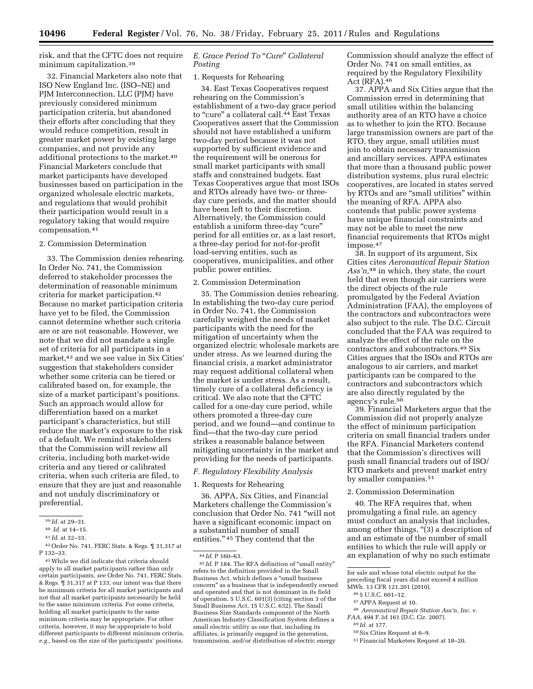risk, and that the CFTC does not require minimum capitalization.39

32. Financial Marketers also note that ISO New England Inc. (ISO–NE) and PJM Interconnection, LLC (PJM) have previously considered minimum participation criteria, but abandoned their efforts after concluding that they would reduce competition, result in greater market power by existing large companies, and not provide any additional protections to the market.40 Financial Marketers conclude that market participants have developed businesses based on participation in the organized wholesale electric markets, and regulations that would prohibit their participation would result in a regulatory taking that would require compensation.41

### 2. Commission Determination

33. The Commission denies rehearing. In Order No. 741, the Commission deferred to stakeholder processes the determination of reasonable minimum criteria for market participation.42 Because no market participation criteria have yet to be filed, the Commission cannot determine whether such criteria are or are not reasonable. However, we note that we did not mandate a single set of criteria for all participants in a market,43 and we see value in Six Cities' suggestion that stakeholders consider whether some criteria can be tiered or calibrated based on, for example, the size of a market participant's positions. Such an approach would allow for differentiation based on a market participant's characteristics, but still reduce the market's exposure to the risk of a default. We remind stakeholders that the Commission will review all criteria, including both market-wide criteria and any tiered or calibrated criteria, when such criteria are filed, to ensure that they are just and reasonable and not unduly discriminatory or preferential.

42Order No. 741, FERC Stats. & Regs. ¶ 31,317 at P 132–33.

43While we did indicate that criteria should apply to all market participants rather than only certain participants, *see* Order No. 741, FERC Stats. & Regs. ¶ 31,317 at P 133, our intent was that there be minimum criteria for all market participants and not that all market participants necessarily be held to the same minimum criteria. For some criteria, holding all market participants to the same minimum criteria may be appropriate. For other criteria, however, it may be appropriate to hold different participants to different minimum criteria, *e.g.,* based on the size of the participants' positions.

## *E. Grace Period To* ''*Cure*'' *Collateral Posting*

#### 1. Requests for Rehearing

34. East Texas Cooperatives request rehearing on the Commission's establishment of a two-day grace period to "cure" a collateral call.<sup>44</sup> East Texas Cooperatives assert that the Commission should not have established a uniform two-day period because it was not supported by sufficient evidence and the requirement will be onerous for small market participants with small staffs and constrained budgets. East Texas Cooperatives argue that most ISOs and RTOs already have two- or threeday cure periods, and the matter should have been left to their discretion. Alternatively, the Commission could establish a uniform three-day ''cure'' period for all entities or, as a last resort, a three-day period for not-for-profit load-serving entities, such as cooperatives, municipalities, and other public power entities.

### 2. Commission Determination

35. The Commission denies rehearing. In establishing the two-day cure period in Order No. 741, the Commission carefully weighed the needs of market participants with the need for the mitigation of uncertainty when the organized electric wholesale markets are under stress. As we learned during the financial crisis, a market administrator may request additional collateral when the market is under stress. As a result, timely cure of a collateral deficiency is critical. We also note that the CFTC called for a one-day cure period, while others promoted a three-day cure period, and we found—and continue to find—that the two-day cure period strikes a reasonable balance between mitigating uncertainty in the market and providing for the needs of participants.

## *F. Regulatory Flexibility Analysis*

### 1. Requests for Rehearing

36. APPA, Six Cities, and Financial Marketers challenge the Commission's conclusion that Order No. 741 ''will not have a significant economic impact on a substantial number of small entities." <sup>45</sup> They contend that the

Commission should analyze the effect of Order No. 741 on small entities, as required by the Regulatory Flexibility Act (RFA).46

37. APPA and Six Cities argue that the Commission erred in determining that small utilities within the balancing authority area of an RTO have a choice as to whether to join the RTO. Because large transmission owners are part of the RTO, they argue, small utilities must join to obtain necessary transmission and ancillary services. APPA estimates that more than a thousand public power distribution systems, plus rural electric cooperatives, are located in states served by RTOs and are "small utilities" within the meaning of RFA. APPA also contends that public power systems have unique financial constraints and may not be able to meet the new financial requirements that RTOs might impose.47

38. In support of its argument, Six Cities cites *Aeronautical Repair Station Ass'n,*48 in which, they state, the court held that even though air carriers were the direct objects of the rule promulgated by the Federal Aviation Administration (FAA), the employees of the contractors and subcontractors were also subject to the rule. The D.C. Circuit concluded that the FAA was required to analyze the effect of the rule on the contractors and subcontractors.49 Six Cities argues that the ISOs and RTOs are analogous to air carriers, and market participants can be compared to the contractors and subcontractors which are also directly regulated by the agency's rule.<sup>50</sup>

39. Financial Marketers argue that the Commission did not properly analyze the effect of minimum participation criteria on small financial traders under the RFA. Financial Marketers contend that the Commission's directives will push small financial traders out of ISO/ RTO markets and prevent market entry by smaller companies.51

### 2. Commission Determination

40. The RFA requires that, when promulgating a final rule, an agency must conduct an analysis that includes, among other things, "(3) a description of and an estimate of the number of small entities to which the rule will apply or an explanation of why no such estimate

<sup>39</sup> *Id.* at 29–31.

<sup>40</sup> *Id.* at 14–15.

<sup>41</sup> *Id.* at 32–33.

<sup>44</sup> *Id.* P 160–63.

 $^{45}$  *Id.* P 184. The RFA definition of "small entity" refers to the definition provided in the Small Business Act, which defines a ''small business concern'' as a business that is independently owned and operated and that is not dominant in its field of operation. 5 U.S.C. 601(3) (citing section 3 of the Small Business Act, 15 U.S.C. 632). The Small Business Size Standards component of the North American Industry Classification System defines a small electric utility as one that, including its affiliates, is primarily engaged in the generation, transmission, and/or distribution of electric energy

for sale and whose total electric output for the preceding fiscal years did not exceed 4 million MWh. 13 CFR 121.201 (2010).

<sup>46</sup> 5 U.S.C. 601–12.

<sup>47</sup>APPA Request at 10.

<sup>48</sup> *Aeronautical Repair Station Ass'n, Inc.* v. *FAA,* 494 F.3d 161 (D.C. Cir. 2007).

<sup>49</sup> *Id.* at 177.

<sup>50</sup>Six Cities Request at 6–9.

<sup>51</sup>Financial Marketers Request at 18–20.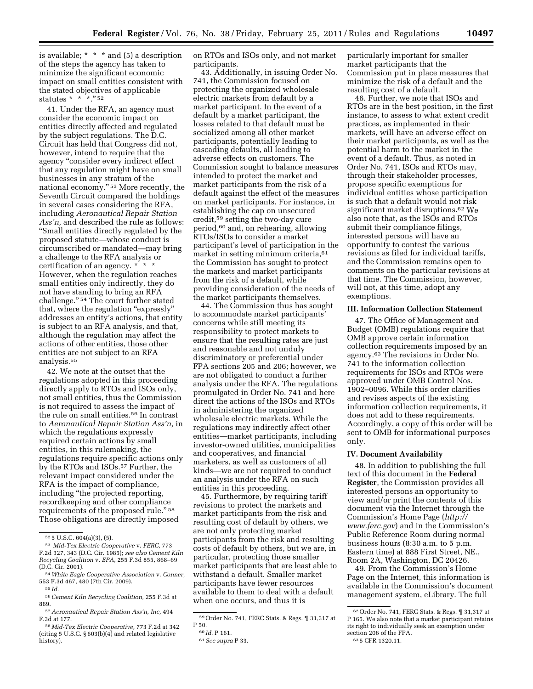is available; \* \* \* and (5) a description of the steps the agency has taken to minimize the significant economic impact on small entities consistent with the stated objectives of applicable statutes \* \* \*." 52

41. Under the RFA, an agency must consider the economic impact on entities directly affected and regulated by the subject regulations. The D.C. Circuit has held that Congress did not, however, intend to require that the agency ''consider every indirect effect that any regulation might have on small businesses in any stratum of the national economy.'' 53 More recently, the Seventh Circuit compared the holdings in several cases considering the RFA, including *Aeronautical Repair Station Ass'n,* and described the rule as follows: ''Small entities directly regulated by the proposed statute—whose conduct is circumscribed or mandated—may bring a challenge to the RFA analysis or certification of an agency. \* \* \* However, when the regulation reaches small entities only indirectly, they do not have standing to bring an RFA challenge.'' 54 The court further stated that, where the regulation "expressly" addresses an entity's actions, that entity is subject to an RFA analysis, and that, although the regulation may affect the actions of other entities, those other entities are not subject to an RFA analysis.55

42. We note at the outset that the regulations adopted in this proceeding directly apply to RTOs and ISOs only, not small entities, thus the Commission is not required to assess the impact of the rule on small entities.56 In contrast to *Aeronautical Repair Station Ass'n,* in which the regulations expressly required certain actions by small entities, in this rulemaking, the regulations require specific actions only by the RTOs and ISOs.57 Further, the relevant impact considered under the RFA is the impact of compliance, including ''the projected reporting, recordkeeping and other compliance requirements of the proposed rule.'' 58 Those obligations are directly imposed

on RTOs and ISOs only, and not market participants.

43. Additionally, in issuing Order No. 741, the Commission focused on protecting the organized wholesale electric markets from default by a market participant. In the event of a default by a market participant, the losses related to that default must be socialized among all other market participants, potentially leading to cascading defaults, all leading to adverse effects on customers. The Commission sought to balance measures intended to protect the market and market participants from the risk of a default against the effect of the measures on market participants. For instance, in establishing the cap on unsecured credit,59 setting the two-day cure period,60 and, on rehearing, allowing RTOs/ISOs to consider a market participant's level of participation in the market in setting minimum criteria,<sup>61</sup> the Commission has sought to protect the markets and market participants from the risk of a default, while providing consideration of the needs of the market participants themselves.

44. The Commission thus has sought to accommodate market participants' concerns while still meeting its responsibility to protect markets to ensure that the resulting rates are just and reasonable and not unduly discriminatory or preferential under FPA sections 205 and 206; however, we are not obligated to conduct a further analysis under the RFA. The regulations promulgated in Order No. 741 and here direct the actions of the ISOs and RTOs in administering the organized wholesale electric markets. While the regulations may indirectly affect other entities—market participants, including investor-owned utilities, municipalities and cooperatives, and financial marketers, as well as customers of all kinds—we are not required to conduct an analysis under the RFA on such entities in this proceeding.

45. Furthermore, by requiring tariff revisions to protect the markets and market participants from the risk and resulting cost of default by others, we are not only protecting market participants from the risk and resulting costs of default by others, but we are, in particular, protecting those smaller market participants that are least able to withstand a default. Smaller market participants have fewer resources available to them to deal with a default when one occurs, and thus it is

particularly important for smaller market participants that the Commission put in place measures that minimize the risk of a default and the resulting cost of a default.

46. Further, we note that ISOs and RTOs are in the best position, in the first instance, to assess to what extent credit practices, as implemented in their markets, will have an adverse effect on their market participants, as well as the potential harm to the market in the event of a default. Thus, as noted in Order No. 741, ISOs and RTOs may, through their stakeholder processes, propose specific exemptions for individual entities whose participation is such that a default would not risk significant market disruptions.62 We also note that, as the ISOs and RTOs submit their compliance filings, interested persons will have an opportunity to contest the various revisions as filed for individual tariffs, and the Commission remains open to comments on the particular revisions at that time. The Commission, however, will not, at this time, adopt any exemptions.

### **III. Information Collection Statement**

47. The Office of Management and Budget (OMB) regulations require that OMB approve certain information collection requirements imposed by an agency.63 The revisions in Order No. 741 to the information collection requirements for ISOs and RTOs were approved under OMB Control Nos. 1902–0096. While this order clarifies and revises aspects of the existing information collection requirements, it does not add to these requirements. Accordingly, a copy of this order will be sent to OMB for informational purposes only.

#### **IV. Document Availability**

48. In addition to publishing the full text of this document in the **Federal Register**, the Commission provides all interested persons an opportunity to view and/or print the contents of this document via the Internet through the Commission's Home Page (*[http://](http://www.ferc.gov) [www.ferc.gov](http://www.ferc.gov)*) and in the Commission's Public Reference Room during normal business hours (8:30 a.m. to 5 p.m. Eastern time) at 888 First Street, NE., Room 2A, Washington, DC 20426.

49. From the Commission's Home Page on the Internet, this information is available in the Commission's document management system, eLibrary. The full

<sup>52</sup> 5 U.S.C. 604(a)(3), (5).

<sup>53</sup> *Mid-Tex Electric Cooperative* v. *FERC,* 773 F.2d 327, 343 (D.C. Cir. 1985); *see also Cement Kiln Recycling Coalition* v. *EPA,* 255 F.3d 855, 868–69 (D.C. Cir. 2001).

<sup>54</sup>*White Eagle Cooperative Association* v. *Conner,*  553 F.3d 467, 480 (7th Cir. 2009).

<sup>55</sup> *Id.* 

<sup>56</sup>*Cement Kiln Recycling Coalition,* 255 F.3d at 869.

<sup>57</sup>*Aeronautical Repair Station Ass'n, Inc,* 494 F.3d at 177.

<sup>58</sup> *Mid-Tex Electric Cooperative,* 773 F.2d at 342 (citing 5 U.S.C. § 603(b)(4) and related legislative history).

<sup>59</sup>Order No. 741, FERC Stats. & Regs. ¶ 31,317 at P 50.

<sup>60</sup> *Id.* P 161.

<sup>61</sup>*See supra* P 33.

<sup>62</sup>Order No. 741, FERC Stats. & Regs. ¶ 31,317 at P 165. We also note that a market participant retains its right to individually seek an exemption under section 206 of the FPA.

<sup>63</sup> 5 CFR 1320.11.